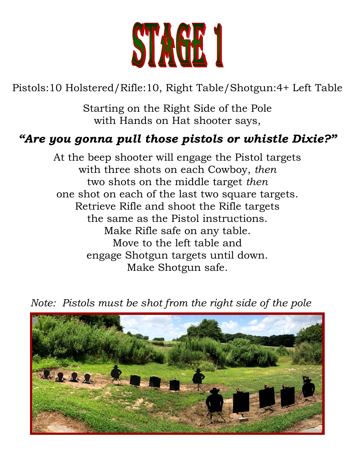

Pistols:10 Holstered/Rifle:10, Right Table/Shotgun:4+ Left Table

Starting on the Right Side of the Pole with Hands on Hat shooter says,

### *"Are you gonna pull those pistols or whistle Dixie?"*

At the beep shooter will engage the Pistol targets with three shots on each Cowboy, *then* two shots on the middle target *then* one shot on each of the last two square targets. Retrieve Rifle and shoot the Rifle targets the same as the Pistol instructions. Make Rifle safe on any table. Move to the left table and engage Shotgun targets until down. Make Shotgun safe.

 *Note: Pistols must be shot from the right side of the pole*

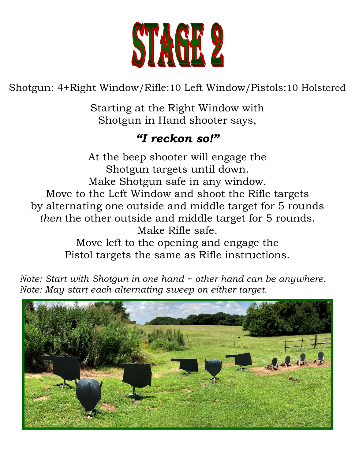

Shotgun: 4+Right Window/Rifle:10 Left Window/Pistols:10 Holstered

Starting at the Right Window with Shotgun in Hand shooter says,

#### *"I reckon so!"*

At the beep shooter will engage the Shotgun targets until down. Make Shotgun safe in any window. Move to the Left Window and shoot the Rifle targets by alternating one outside and middle target for 5 rounds *then* the other outside and middle target for 5 rounds. Make Rifle safe. Move left to the opening and engage the

Pistol targets the same as Rifle instructions.

 *Note: Start with Shotgun in one hand ~ other hand can be anywhere. Note: May start each alternating sweep on either target.*

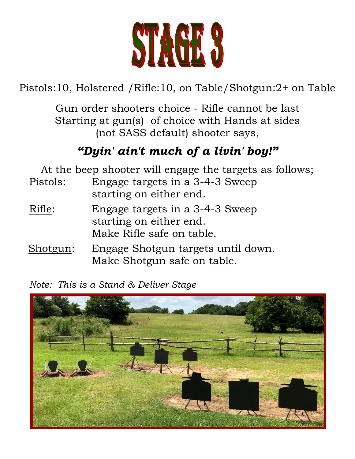

Pistols:10, Holstered /Rifle:10, on Table/Shotgun:2+ on Table

Gun order shooters choice - Rifle cannot be last Starting at gun(s) of choice with Hands at sides (not SASS default) shooter says,

# *"Dyin' ain't much of a livin' boy!"*

| At the beep shooter will engage the targets as follows; |                                                                                         |  |
|---------------------------------------------------------|-----------------------------------------------------------------------------------------|--|
| Pistols:                                                | Engage targets in a 3-4-3 Sweep<br>starting on either end.                              |  |
| Rifle:                                                  | Engage targets in a 3-4-3 Sweep<br>starting on either end.<br>Make Rifle safe on table. |  |
| Shotgun:                                                | Engage Shotgun targets until down.<br>Make Shotgun safe on table.                       |  |

*Note: This is a Stand & Deliver Stage*

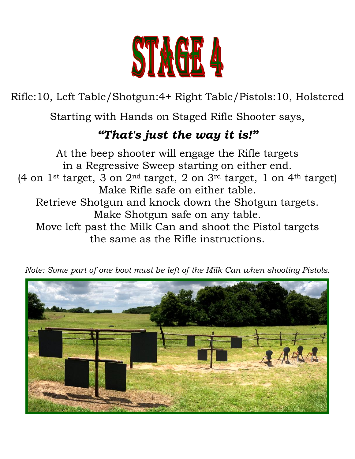

Rifle:10, Left Table/Shotgun:4+ Right Table/Pistols:10, Holstered

Starting with Hands on Staged Rifle Shooter says,

# *"That's just the way it is!"*

At the beep shooter will engage the Rifle targets in a Regressive Sweep starting on either end. (4 on  $1$ <sup>st</sup> target, 3 on  $2<sup>nd</sup>$  target, 2 on  $3<sup>rd</sup>$  target, 1 on  $4<sup>th</sup>$  target) Make Rifle safe on either table. Retrieve Shotgun and knock down the Shotgun targets. Make Shotgun safe on any table. Move left past the Milk Can and shoot the Pistol targets the same as the Rifle instructions.



*Note: Some part of one boot must be left of the Milk Can when shooting Pistols.*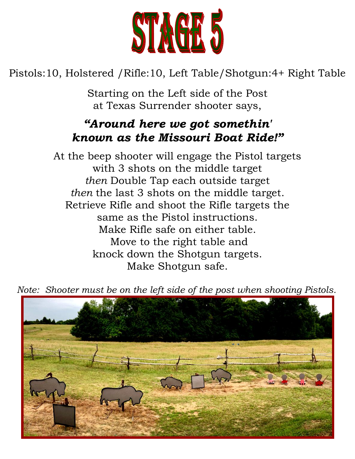

Pistols:10, Holstered /Rifle:10, Left Table/Shotgun:4+ Right Table

Starting on the Left side of the Post at Texas Surrender shooter says,

## *"Around here we got somethin' known as the Missouri Boat Ride!"*

At the beep shooter will engage the Pistol targets with 3 shots on the middle target *then* Double Tap each outside target *then* the last 3 shots on the middle target. Retrieve Rifle and shoot the Rifle targets the same as the Pistol instructions. Make Rifle safe on either table. Move to the right table and knock down the Shotgun targets. Make Shotgun safe.

 *Note: Shooter must be on the left side of the post when shooting Pistols.*